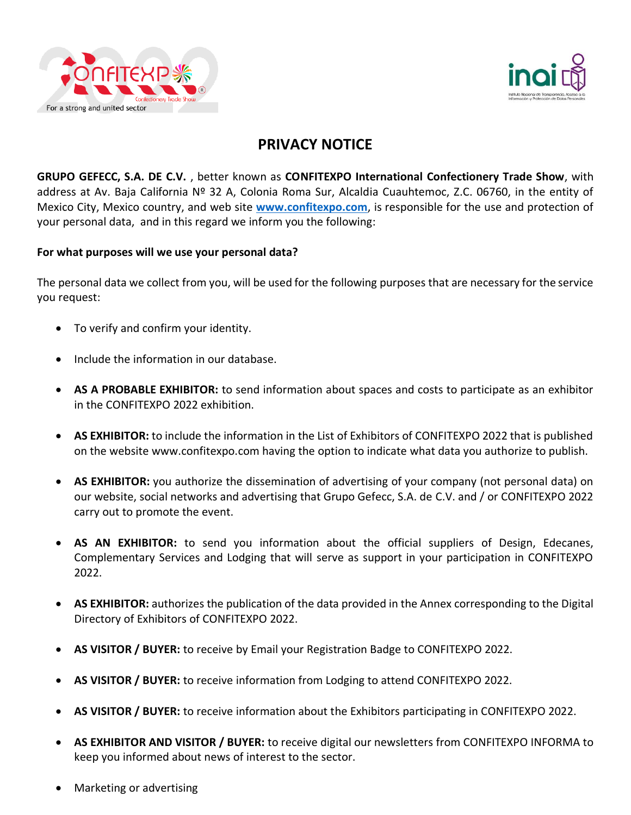



# **PRIVACY NOTICE**

**GRUPO GEFECC, S.A. DE C.V.** , better known as **CONFITEXPO International Confectionery Trade Show**, with address at Av. Baja California Nº 32 A, Colonia Roma Sur, Alcaldia Cuauhtemoc, Z.C. 06760, in the entity of Mexico City, Mexico country, and web site **[www.confitexpo.com](http://www.confitexpo.com/)**, is responsible for the use and protection of your personal data, and in this regard we inform you the following:

# **For what purposes will we use your personal data?**

The personal data we collect from you, will be used for the following purposes that are necessary for the service you request:

- To verify and confirm your identity.
- Include the information in our database.
- **AS A PROBABLE EXHIBITOR:** to send information about spaces and costs to participate as an exhibitor in the CONFITEXPO 2022 exhibition.
- **AS EXHIBITOR:** to include the information in the List of Exhibitors of CONFITEXPO 2022 that is published on the website www.confitexpo.com having the option to indicate what data you authorize to publish.
- **AS EXHIBITOR:** you authorize the dissemination of advertising of your company (not personal data) on our website, social networks and advertising that Grupo Gefecc, S.A. de C.V. and / or CONFITEXPO 2022 carry out to promote the event.
- **AS AN EXHIBITOR:** to send you information about the official suppliers of Design, Edecanes, Complementary Services and Lodging that will serve as support in your participation in CONFITEXPO 2022.
- **AS EXHIBITOR:** authorizes the publication of the data provided in the Annex corresponding to the Digital Directory of Exhibitors of CONFITEXPO 2022.
- **AS VISITOR / BUYER:** to receive by Email your Registration Badge to CONFITEXPO 2022.
- **AS VISITOR / BUYER:** to receive information from Lodging to attend CONFITEXPO 2022.
- **AS VISITOR / BUYER:** to receive information about the Exhibitors participating in CONFITEXPO 2022.
- **AS EXHIBITOR AND VISITOR / BUYER:** to receive digital our newsletters from CONFITEXPO INFORMA to keep you informed about news of interest to the sector.
- Marketing or advertising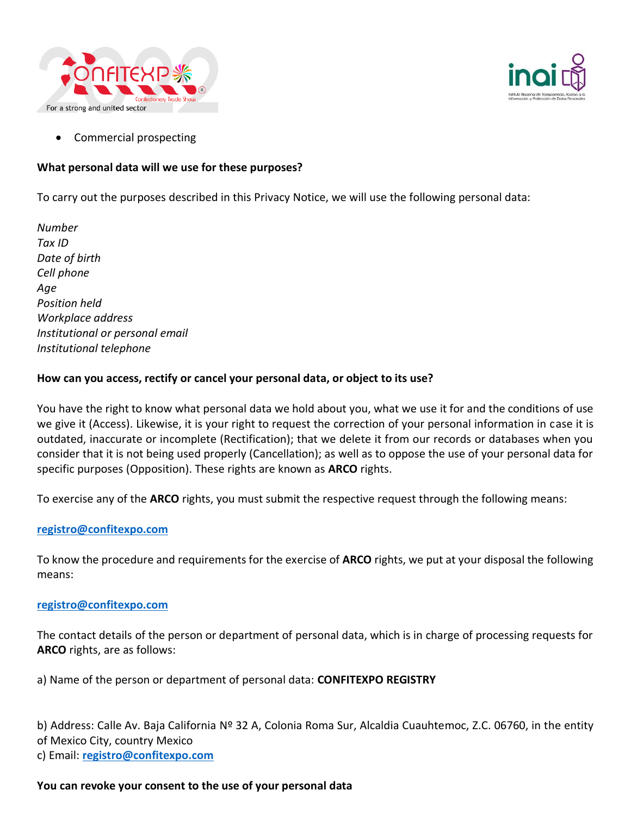



Commercial prospecting

# **What personal data will we use for these purposes?**

To carry out the purposes described in this Privacy Notice, we will use the following personal data:

*Number Tax ID Date of birth Cell phone Age Position held Workplace address Institutional or personal email Institutional telephone*

# **How can you access, rectify or cancel your personal data, or object to its use?**

You have the right to know what personal data we hold about you, what we use it for and the conditions of use we give it (Access). Likewise, it is your right to request the correction of your personal information in case it is outdated, inaccurate or incomplete (Rectification); that we delete it from our records or databases when you consider that it is not being used properly (Cancellation); as well as to oppose the use of your personal data for specific purposes (Opposition). These rights are known as **ARCO** rights.

To exercise any of the **ARCO** rights, you must submit the respective request through the following means:

# **[registro@confitexpo.com](mailto:registro@confitexpo.com)**

To know the procedure and requirements for the exercise of **ARCO** rights, we put at your disposal the following means:

### **[registro@confitexpo.com](mailto:registro@confitexpo.com)**

The contact details of the person or department of personal data, which is in charge of processing requests for **ARCO** rights, are as follows:

a) Name of the person or department of personal data: **CONFITEXPO REGISTRY**

b) Address: Calle Av. Baja California Nº 32 A, Colonia Roma Sur, Alcaldia Cuauhtemoc, Z.C. 06760, in the entity of Mexico City, country Mexico

c) Email: **[registro@confitexpo.com](mailto:registro@confitexpo.com)**

### **You can revoke your consent to the use of your personal data**